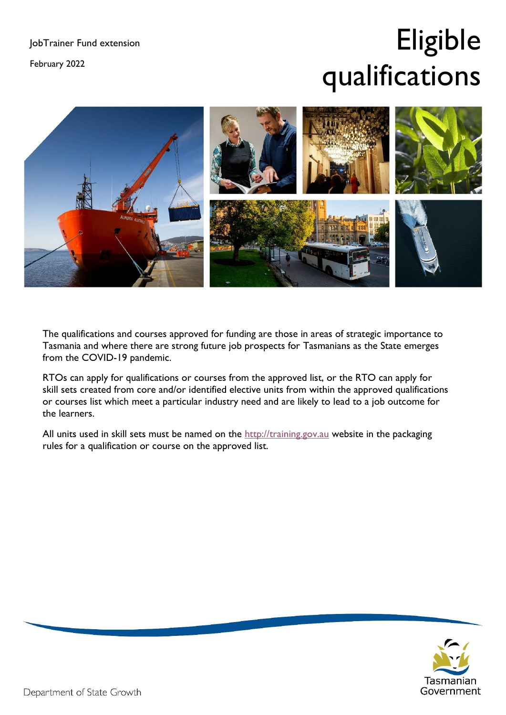February 2022

## Eligible qualifications



The qualifications and courses approved for funding are those in areas of strategic importance to Tasmania and where there are strong future job prospects for Tasmanians as the State emerges from the COVID-19 pandemic.

RTOs can apply for qualifications or courses from the approved list, or the RTO can apply for skill sets created from core and/or identified elective units from within the approved qualifications or courses list which meet a particular industry need and are likely to lead to a job outcome for the learners.

All units used in skill sets must be named on the [http://training.gov.au](http://training.gov.au/) website in the packaging rules for a qualification or course on the approved list.

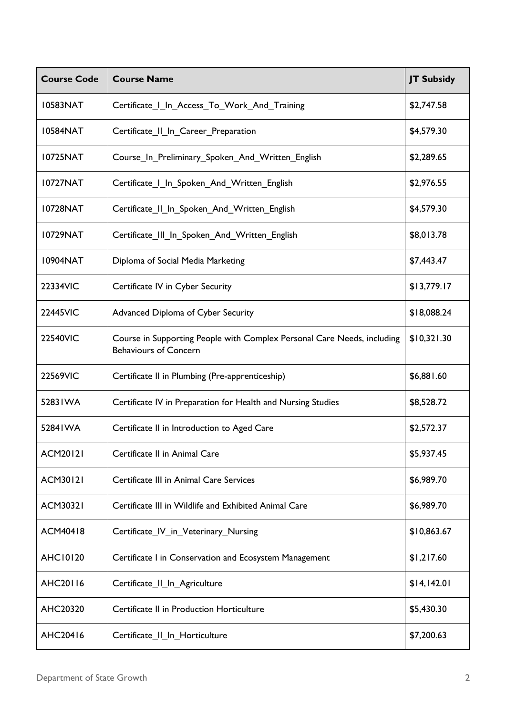| <b>Course Code</b> | <b>Course Name</b>                                                                                      | <b>JT Subsidy</b> |
|--------------------|---------------------------------------------------------------------------------------------------------|-------------------|
| 10583NAT           | Certificate   In_Access_To_Work_And_Training                                                            | \$2,747.58        |
| <b>I0584NAT</b>    | Certificate_II_In_Career_Preparation                                                                    | \$4,579.30        |
| 10725NAT           | Course_In_Preliminary_Spoken_And_Written_English                                                        | \$2,289.65        |
| 10727NAT           | Certificate_I_In_Spoken_And_Written_English                                                             | \$2,976.55        |
| 10728NAT           | Certificate II In Spoken And Written English                                                            | \$4,579.30        |
| 10729NAT           | Certificate_III_In_Spoken_And_Written_English                                                           | \$8,013.78        |
| 10904NAT           | Diploma of Social Media Marketing                                                                       | \$7,443.47        |
| 22334VIC           | Certificate IV in Cyber Security                                                                        | \$13,779.17       |
| 22445VIC           | Advanced Diploma of Cyber Security                                                                      | \$18,088.24       |
| 22540VIC           | Course in Supporting People with Complex Personal Care Needs, including<br><b>Behaviours of Concern</b> | \$10,321.30       |
| 22569VIC           | Certificate II in Plumbing (Pre-apprenticeship)                                                         | \$6,881.60        |
| 52831WA            | Certificate IV in Preparation for Health and Nursing Studies                                            | \$8,528.72        |
| 52841WA            | Certificate II in Introduction to Aged Care                                                             | \$2,572.37        |
| <b>ACM20121</b>    | Certificate II in Animal Care                                                                           | \$5,937.45        |
| <b>ACM30121</b>    | Certificate III in Animal Care Services                                                                 | \$6,989.70        |
| <b>ACM30321</b>    | Certificate III in Wildlife and Exhibited Animal Care                                                   | \$6,989.70        |
| ACM40418           | Certificate_IV_in_Veterinary_Nursing                                                                    | \$10,863.67       |
| <b>AHC10120</b>    | Certificate I in Conservation and Ecosystem Management                                                  | \$1,217.60        |
| AHC20116           | Certificate_II_In_Agriculture                                                                           | \$14,142.01       |
| AHC20320           | Certificate II in Production Horticulture                                                               | \$5,430.30        |
| AHC20416           | Certificate_II_In_Horticulture                                                                          | \$7,200.63        |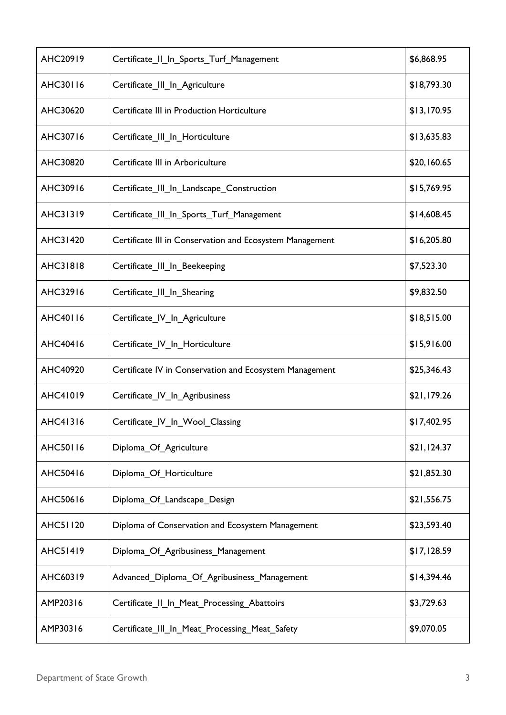| AHC20919        | Certificate II In Sports Turf Management                 | \$6,868.95  |
|-----------------|----------------------------------------------------------|-------------|
| AHC30116        | Certificate_III_In_Agriculture                           | \$18,793.30 |
| AHC30620        | Certificate III in Production Horticulture               | \$13,170.95 |
| AHC30716        | Certificate_III_In_Horticulture                          | \$13,635.83 |
| AHC30820        | Certificate III in Arboriculture                         | \$20,160.65 |
| AHC30916        | Certificate_III_In_Landscape_Construction                | \$15,769.95 |
| AHC31319        | Certificate_III_In_Sports_Turf_Management                | \$14,608.45 |
| AHC31420        | Certificate III in Conservation and Ecosystem Management | \$16,205.80 |
| <b>AHC31818</b> | Certificate III In Beekeeping                            | \$7,523.30  |
| AHC32916        | Certificate_III_In_Shearing                              | \$9,832.50  |
| AHC40116        | Certificate_IV_In_Agriculture                            | \$18,515.00 |
| AHC40416        | Certificate_IV_In_Horticulture                           | \$15,916.00 |
| AHC40920        | Certificate IV in Conservation and Ecosystem Management  | \$25,346.43 |
| AHC41019        | Certificate_IV_In_Agribusiness                           | \$21,179.26 |
| AHC41316        | Certificate_IV_In_Wool_Classing                          | \$17,402.95 |
| AHC50116        | Diploma Of Agriculture                                   | \$21,124.37 |
| AHC50416        | Diploma_Of_Horticulture                                  | \$21,852.30 |
| AHC50616        | Diploma Of Landscape Design                              | \$21,556.75 |
| <b>AHC51120</b> | Diploma of Conservation and Ecosystem Management         | \$23,593.40 |
| <b>AHC51419</b> | Diploma_Of_Agribusiness_Management                       | \$17,128.59 |
| AHC60319        | Advanced Diploma Of Agribusiness Management              | \$14,394.46 |
| AMP20316        | Certificate_II_In_Meat_Processing_Abattoirs              | \$3,729.63  |
| AMP30316        | Certificate_III_In_Meat_Processing_Meat_Safety           | \$9,070.05  |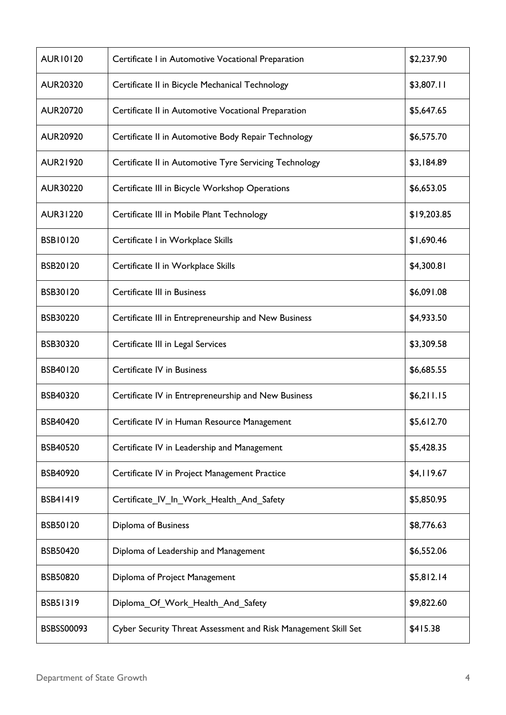| <b>AUR10120</b> | Certificate I in Automotive Vocational Preparation             | \$2,237.90  |
|-----------------|----------------------------------------------------------------|-------------|
| <b>AUR20320</b> | Certificate II in Bicycle Mechanical Technology                | \$3,807.11  |
| <b>AUR20720</b> | Certificate II in Automotive Vocational Preparation            | \$5,647.65  |
| <b>AUR20920</b> | Certificate II in Automotive Body Repair Technology            | \$6,575.70  |
| <b>AUR21920</b> | Certificate II in Automotive Tyre Servicing Technology         | \$3,184.89  |
| <b>AUR30220</b> | Certificate III in Bicycle Workshop Operations                 | \$6,653.05  |
| <b>AUR31220</b> | Certificate III in Mobile Plant Technology                     | \$19,203.85 |
| <b>BSB10120</b> | Certificate I in Workplace Skills                              | \$1,690.46  |
| BSB20120        | Certificate II in Workplace Skills                             | \$4,300.81  |
| BSB30120        | Certificate III in Business                                    | \$6,091.08  |
| BSB30220        | Certificate III in Entrepreneurship and New Business           | \$4,933.50  |
| <b>BSB30320</b> | Certificate III in Legal Services                              | \$3,309.58  |
| BSB40120        | Certificate IV in Business                                     | \$6,685.55  |
| BSB40320        | Certificate IV in Entrepreneurship and New Business            | \$6,211.15  |
| <b>BSB40420</b> | Certificate IV in Human Resource Management                    | \$5,612.70  |
| <b>BSB40520</b> | Certificate IV in Leadership and Management                    | \$5,428.35  |
| BSB40920        | Certificate IV in Project Management Practice                  | \$4,119.67  |
| BSB41419        | Certificate IV In Work Health And Safety                       | \$5,850.95  |
| BSB50120        | Diploma of Business                                            | \$8,776.63  |
| <b>BSB50420</b> | Diploma of Leadership and Management                           | \$6,552.06  |
| <b>BSB50820</b> | Diploma of Project Management                                  | \$5,812.14  |
| <b>BSB51319</b> | Diploma_Of_Work_Health_And_Safety                              | \$9,822.60  |
| BSBSS00093      | Cyber Security Threat Assessment and Risk Management Skill Set | \$415.38    |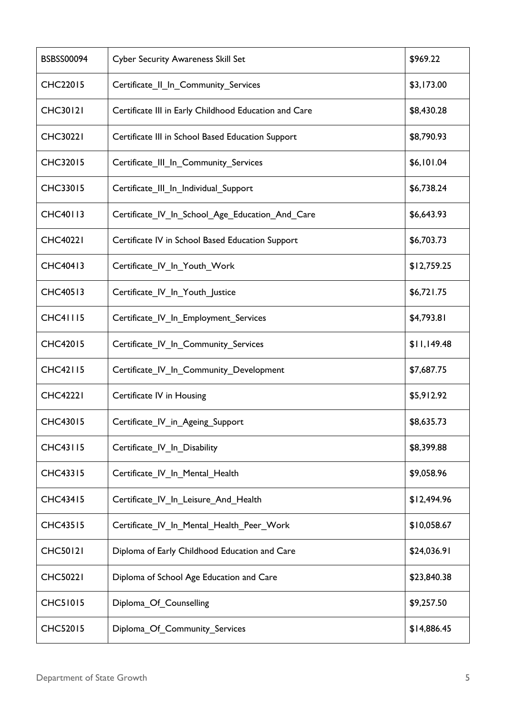| <b>BSBSS00094</b> | <b>Cyber Security Awareness Skill Set</b>             | \$969.22    |
|-------------------|-------------------------------------------------------|-------------|
| <b>CHC22015</b>   | Certificate_II_In_Community_Services                  | \$3,173.00  |
| <b>CHC30121</b>   | Certificate III in Early Childhood Education and Care | \$8,430.28  |
| <b>CHC30221</b>   | Certificate III in School Based Education Support     | \$8,790.93  |
| <b>CHC32015</b>   | Certificate_III_In_Community_Services                 | \$6,101.04  |
| <b>CHC33015</b>   | Certificate III In Individual Support                 | \$6,738.24  |
| <b>CHC40113</b>   | Certificate_IV_In_School_Age_Education_And_Care       | \$6,643.93  |
| <b>CHC40221</b>   | Certificate IV in School Based Education Support      | \$6,703.73  |
| <b>CHC40413</b>   | Certificate IV In Youth Work                          | \$12,759.25 |
| <b>CHC40513</b>   | Certificate_IV_In_Youth_Justice                       | \$6,721.75  |
| <b>CHC41115</b>   | Certificate_IV_In_Employment_Services                 | \$4,793.81  |
| <b>CHC42015</b>   | Certificate_IV_In_Community_Services                  | \$11,149.48 |
| <b>CHC42115</b>   | Certificate <sub>_IV_In_</sub> Community_Development  | \$7,687.75  |
| <b>CHC42221</b>   | Certificate IV in Housing                             | \$5,912.92  |
| <b>CHC43015</b>   | Certificate_IV_in_Ageing_Support                      | \$8,635.73  |
| <b>CHC43115</b>   | Certificate IV In Disability                          | \$8,399.88  |
| <b>CHC43315</b>   | Certificate_IV_In_Mental_Health                       | \$9,058.96  |
| <b>CHC43415</b>   | Certificate IV In Leisure And Health                  | \$12,494.96 |
| <b>CHC43515</b>   | Certificate IV In Mental Health Peer Work             | \$10,058.67 |
| <b>CHC50121</b>   | Diploma of Early Childhood Education and Care         | \$24,036.91 |
| <b>CHC50221</b>   | Diploma of School Age Education and Care              | \$23,840.38 |
| <b>CHC51015</b>   | Diploma_Of_Counselling                                | \$9,257.50  |
| <b>CHC52015</b>   | Diploma_Of_Community_Services                         | \$14,886.45 |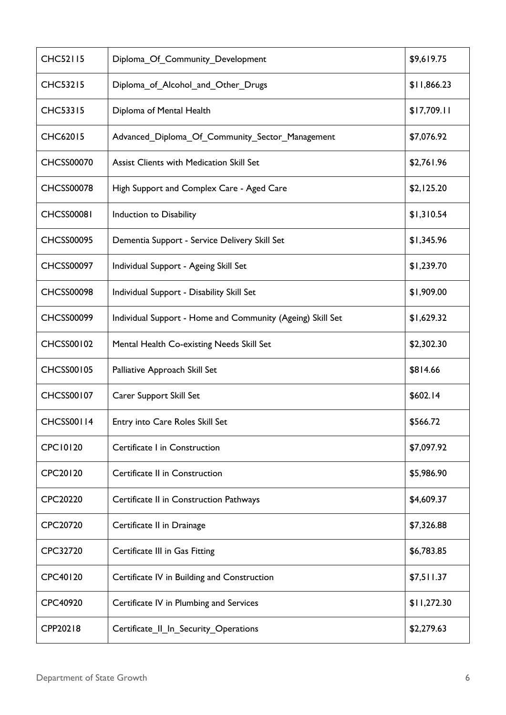| <b>CHC52115</b>   | Diploma_Of_Community_Development                           | \$9,619.75  |
|-------------------|------------------------------------------------------------|-------------|
| <b>CHC53215</b>   | Diploma_of_Alcohol_and_Other_Drugs                         | \$11,866.23 |
| <b>CHC53315</b>   | Diploma of Mental Health                                   | \$17,709.11 |
| <b>CHC62015</b>   | Advanced Diploma Of Community Sector Management            | \$7,076.92  |
| <b>CHCSS00070</b> | <b>Assist Clients with Medication Skill Set</b>            | \$2,761.96  |
| <b>CHCSS00078</b> | High Support and Complex Care - Aged Care                  | \$2,125.20  |
| <b>CHCSS00081</b> | Induction to Disability                                    | \$1,310.54  |
| <b>CHCSS00095</b> | Dementia Support - Service Delivery Skill Set              | \$1,345.96  |
| <b>CHCSS00097</b> | Individual Support - Ageing Skill Set                      | \$1,239.70  |
| <b>CHCSS00098</b> | Individual Support - Disability Skill Set                  | \$1,909.00  |
| <b>CHCSS00099</b> | Individual Support - Home and Community (Ageing) Skill Set | \$1,629.32  |
| <b>CHCSS00102</b> | Mental Health Co-existing Needs Skill Set                  | \$2,302.30  |
| <b>CHCSS00105</b> | Palliative Approach Skill Set                              | \$814.66    |
| <b>CHCSS00107</b> | Carer Support Skill Set                                    | \$602.14    |
| <b>CHCSS00114</b> | Entry into Care Roles Skill Set                            | \$566.72    |
| <b>CPC10120</b>   | Certificate I in Construction                              | \$7,097.92  |
| CPC20120          | Certificate II in Construction                             | \$5,986.90  |
| CPC20220          | Certificate II in Construction Pathways                    | \$4,609.37  |
| CPC20720          | Certificate II in Drainage                                 | \$7,326.88  |
| CPC32720          | Certificate III in Gas Fitting                             | \$6,783.85  |
| CPC40120          | Certificate IV in Building and Construction                | \$7,511.37  |
| CPC40920          | Certificate IV in Plumbing and Services                    | \$11,272.30 |
| CPP20218          | Certificate_II_In_Security_Operations                      | \$2,279.63  |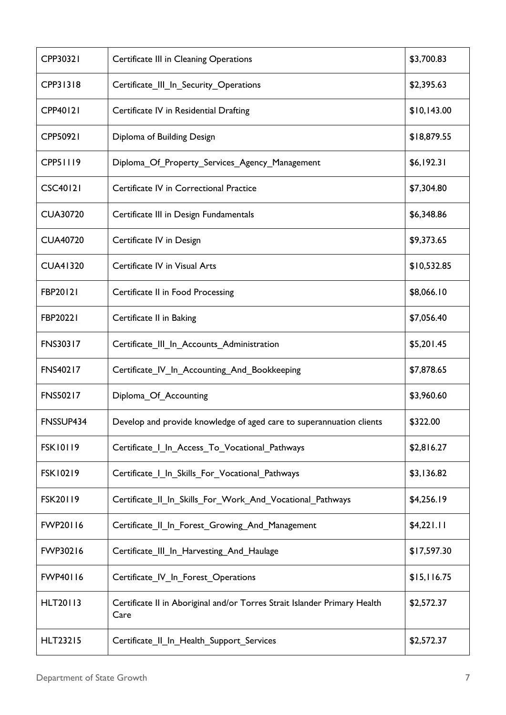| CPP30321        | Certificate III in Cleaning Operations                                            | \$3,700.83  |
|-----------------|-----------------------------------------------------------------------------------|-------------|
| CPP31318        | Certificate_III_In_Security_Operations                                            | \$2,395.63  |
| CPP40121        | Certificate IV in Residential Drafting                                            | \$10,143.00 |
| CPP50921        | Diploma of Building Design                                                        | \$18,879.55 |
| CPP51119        | Diploma_Of_Property_Services_Agency_Management                                    | \$6,192.31  |
| <b>CSC40121</b> | Certificate IV in Correctional Practice                                           | \$7,304.80  |
| <b>CUA30720</b> | Certificate III in Design Fundamentals                                            | \$6,348.86  |
| <b>CUA40720</b> | Certificate IV in Design                                                          | \$9,373.65  |
| <b>CUA41320</b> | Certificate IV in Visual Arts                                                     | \$10,532.85 |
| FBP20121        | Certificate II in Food Processing                                                 | \$8,066.10  |
| FBP20221        | Certificate II in Baking                                                          | \$7,056.40  |
| <b>FNS30317</b> | Certificate_III_In_Accounts_Administration                                        | \$5,201.45  |
| <b>FNS40217</b> | Certificate_IV_In_Accounting_And_Bookkeeping                                      | \$7,878.65  |
| <b>FNS50217</b> | Diploma Of Accounting                                                             | \$3,960.60  |
| FNSSUP434       | Develop and provide knowledge of aged care to superannuation clients              | \$322.00    |
| <b>FSK10119</b> | Certificate I In Access To Vocational Pathways                                    | \$2,816.27  |
| <b>FSK10219</b> | Certificate I In Skills For Vocational Pathways                                   | \$3,136.82  |
| <b>FSK20119</b> | Certificate II In Skills For Work And Vocational Pathways                         | \$4,256.19  |
| <b>FWP20116</b> | Certificate_II_In_Forest_Growing_And_Management                                   | \$4,221.11  |
| FWP30216        | Certificate_III_In_Harvesting_And_Haulage                                         | \$17,597.30 |
| <b>FWP40116</b> | Certificate_IV_In_Forest_Operations                                               | \$15,116.75 |
| <b>HLT20113</b> | Certificate II in Aboriginal and/or Torres Strait Islander Primary Health<br>Care | \$2,572.37  |
| <b>HLT23215</b> | Certificate II In Health Support Services                                         | \$2,572.37  |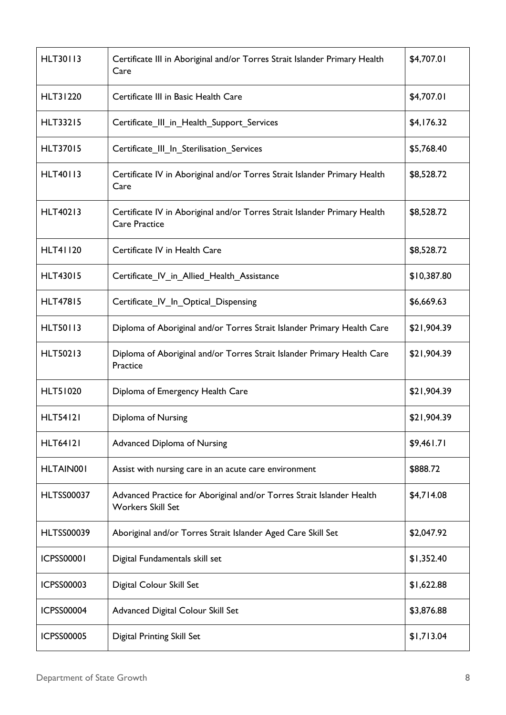| <b>HLT30113</b>   | Certificate III in Aboriginal and/or Torres Strait Islander Primary Health<br>Care                | \$4,707.01  |
|-------------------|---------------------------------------------------------------------------------------------------|-------------|
| <b>HLT31220</b>   | Certificate III in Basic Health Care                                                              | \$4,707.01  |
| <b>HLT33215</b>   | Certificate_III_in_Health_Support_Services                                                        | \$4,176.32  |
| <b>HLT37015</b>   | Certificate III In Sterilisation Services                                                         | \$5,768.40  |
| <b>HLT40113</b>   | Certificate IV in Aboriginal and/or Torres Strait Islander Primary Health<br>Care                 | \$8,528.72  |
| <b>HLT40213</b>   | Certificate IV in Aboriginal and/or Torres Strait Islander Primary Health<br><b>Care Practice</b> | \$8,528.72  |
| <b>HLT41120</b>   | Certificate IV in Health Care                                                                     | \$8,528.72  |
| <b>HLT43015</b>   | Certificate_IV_in_Allied_Health_Assistance                                                        | \$10,387.80 |
| <b>HLT47815</b>   | Certificate_IV_In_Optical_Dispensing                                                              | \$6,669.63  |
| <b>HLT50113</b>   | Diploma of Aboriginal and/or Torres Strait Islander Primary Health Care                           | \$21,904.39 |
| <b>HLT50213</b>   | Diploma of Aboriginal and/or Torres Strait Islander Primary Health Care<br>Practice               | \$21,904.39 |
| <b>HLT51020</b>   | Diploma of Emergency Health Care                                                                  | \$21,904.39 |
| <b>HLT54121</b>   | Diploma of Nursing                                                                                | \$21,904.39 |
| <b>HLT64121</b>   | <b>Advanced Diploma of Nursing</b>                                                                | \$9,461.71  |
| HLTAIN001         | Assist with nursing care in an acute care environment                                             | \$888.72    |
| <b>HLTSS00037</b> | Advanced Practice for Aboriginal and/or Torres Strait Islander Health<br><b>Workers Skill Set</b> | \$4,714.08  |
| <b>HLTSS00039</b> | Aboriginal and/or Torres Strait Islander Aged Care Skill Set                                      | \$2,047.92  |
| <b>ICPSS00001</b> | Digital Fundamentals skill set                                                                    | \$1,352.40  |
| <b>ICPSS00003</b> | Digital Colour Skill Set                                                                          | \$1,622.88  |
| <b>ICPSS00004</b> | Advanced Digital Colour Skill Set                                                                 | \$3,876.88  |
| <b>ICPSS00005</b> | <b>Digital Printing Skill Set</b>                                                                 | \$1,713.04  |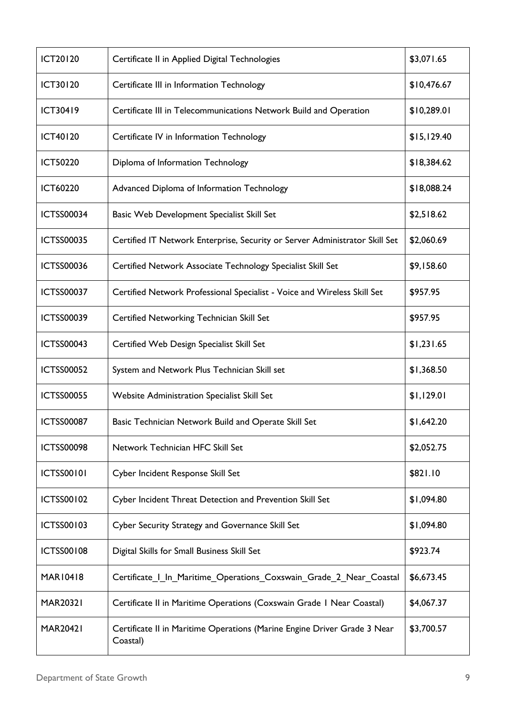| <b>ICT20120</b>   | Certificate II in Applied Digital Technologies                                       | \$3,071.65  |
|-------------------|--------------------------------------------------------------------------------------|-------------|
| <b>ICT30120</b>   | Certificate III in Information Technology                                            | \$10,476.67 |
| <b>ICT30419</b>   | Certificate III in Telecommunications Network Build and Operation                    | \$10,289.01 |
| <b>ICT40120</b>   | Certificate IV in Information Technology                                             | \$15,129.40 |
| <b>ICT50220</b>   | Diploma of Information Technology                                                    | \$18,384.62 |
| <b>ICT60220</b>   | Advanced Diploma of Information Technology                                           | \$18,088.24 |
| <b>ICTSS00034</b> | Basic Web Development Specialist Skill Set                                           | \$2,518.62  |
| <b>ICTSS00035</b> | Certified IT Network Enterprise, Security or Server Administrator Skill Set          | \$2,060.69  |
| <b>ICTSS00036</b> | Certified Network Associate Technology Specialist Skill Set                          | \$9,158.60  |
| <b>ICTSS00037</b> | Certified Network Professional Specialist - Voice and Wireless Skill Set             | \$957.95    |
| <b>ICTSS00039</b> | Certified Networking Technician Skill Set                                            | \$957.95    |
| <b>ICTSS00043</b> | Certified Web Design Specialist Skill Set                                            | \$1,231.65  |
| <b>ICTSS00052</b> | System and Network Plus Technician Skill set                                         | \$1,368.50  |
| <b>ICTSS00055</b> | Website Administration Specialist Skill Set                                          | \$1,129.01  |
| <b>ICTSS00087</b> | Basic Technician Network Build and Operate Skill Set                                 | \$1,642.20  |
| <b>ICTSS00098</b> | Network Technician HFC Skill Set                                                     | \$2,052.75  |
| <b>ICTSS00101</b> | Cyber Incident Response Skill Set                                                    | \$821.10    |
| <b>ICTSS00102</b> | Cyber Incident Threat Detection and Prevention Skill Set                             | \$1,094.80  |
| <b>ICTSS00103</b> | Cyber Security Strategy and Governance Skill Set                                     | \$1,094.80  |
| <b>ICTSS00108</b> | Digital Skills for Small Business Skill Set                                          | \$923.74    |
| MAR10418          | Certificate   In Maritime Operations Coxswain Grade 2 Near Coastal                   | \$6,673.45  |
| <b>MAR20321</b>   | Certificate II in Maritime Operations (Coxswain Grade I Near Coastal)                | \$4,067.37  |
| <b>MAR20421</b>   | Certificate II in Maritime Operations (Marine Engine Driver Grade 3 Near<br>Coastal) | \$3,700.57  |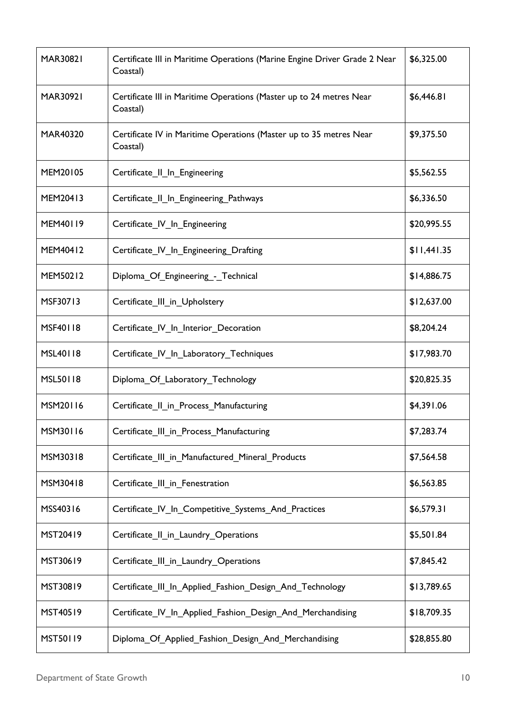| <b>MAR30821</b> | Certificate III in Maritime Operations (Marine Engine Driver Grade 2 Near<br>Coastal) | \$6,325.00  |
|-----------------|---------------------------------------------------------------------------------------|-------------|
| <b>MAR30921</b> | Certificate III in Maritime Operations (Master up to 24 metres Near<br>Coastal)       | \$6,446.81  |
| MAR40320        | Certificate IV in Maritime Operations (Master up to 35 metres Near<br>Coastal)        | \$9,375.50  |
| MEM20105        | Certificate_II_In_Engineering                                                         | \$5,562.55  |
| MEM20413        | Certificate_Il_In_Engineering_Pathways                                                | \$6,336.50  |
| MEM40119        | Certificate IV In Engineering                                                         | \$20,995.55 |
| MEM40412        | Certificate IV In Engineering Drafting                                                | \$11,441.35 |
| MEM50212        | Diploma Of Engineering - Technical                                                    | \$14,886.75 |
| MSF30713        | Certificate III in Upholstery                                                         | \$12,637.00 |
| MSF40118        | Certificate IV In Interior Decoration                                                 | \$8,204.24  |
| MSL40118        | Certificate_IV_In_Laboratory_Techniques                                               | \$17,983.70 |
| MSL50118        | Diploma_Of_Laboratory_Technology                                                      | \$20,825.35 |
| MSM20116        | Certificate II in Process Manufacturing                                               | \$4,391.06  |
| MSM30116        | Certificate_III_in_Process_Manufacturing                                              | \$7,283.74  |
| MSM30318        | Certificate III in Manufactured Mineral Products                                      | \$7,564.58  |
| MSM30418        | Certificate III in Fenestration                                                       | \$6,563.85  |
| MSS40316        | Certificate_IV_In_Competitive_Systems_And_Practices                                   | \$6,579.31  |
| MST20419        | Certificate_Il_in_Laundry_Operations                                                  | \$5,501.84  |
| MST30619        | Certificate_III_in_Laundry_Operations                                                 | \$7,845.42  |
| MST30819        | Certificate_III_In_Applied_Fashion_Design_And_Technology                              | \$13,789.65 |
| MST40519        | Certificate IV In Applied Fashion Design And Merchandising                            | \$18,709.35 |
| MST50119        | Diploma_Of_Applied_Fashion_Design_And_Merchandising                                   | \$28,855.80 |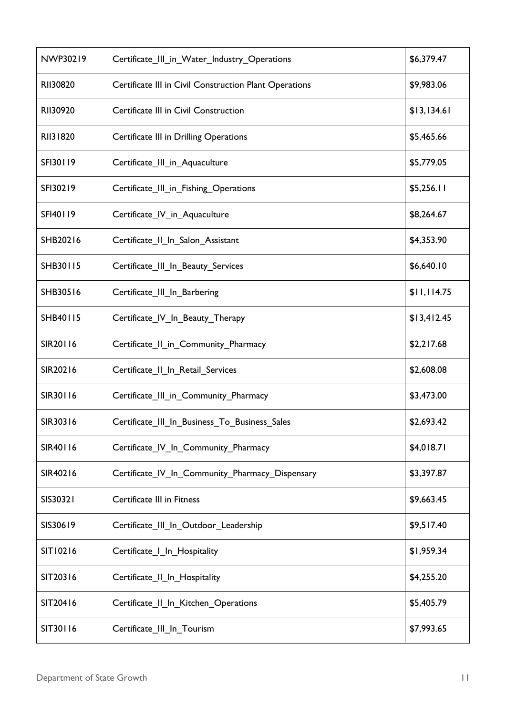| NWP30219 | Certificate_III_in_Water_Industry_Operations           | \$6,379.47  |
|----------|--------------------------------------------------------|-------------|
| RII30820 | Certificate III in Civil Construction Plant Operations | \$9,983.06  |
| RII30920 | Certificate III in Civil Construction                  | \$13,134.61 |
| RII31820 | <b>Certificate III in Drilling Operations</b>          | \$5,465.66  |
| SFI30119 | Certificate_III_in_Aquaculture                         | \$5,779.05  |
| SFI30219 | Certificate_III_in_Fishing_Operations                  | \$5,256.11  |
| SFI40119 | Certificate IV in Aquaculture                          | \$8,264.67  |
| SHB20216 | Certificate II In Salon Assistant                      | \$4,353.90  |
| SHB30115 | Certificate_III_In_Beauty_Services                     | \$6,640.10  |
| SHB30516 | Certificate_III_In_Barbering                           | \$11,114.75 |
| SHB40115 | Certificate IV In Beauty Therapy                       | \$13,412.45 |
| SIR20116 | Certificate II in Community Pharmacy                   | \$2,217.68  |
| SIR20216 | Certificate_II_In_Retail_Services                      | \$2,608.08  |
| SIR30116 | Certificate III in Community Pharmacy                  | \$3,473.00  |
| SIR30316 | Certificate_III_In_Business_To_Business_Sales          | \$2,693.42  |
| SIR40116 | Certificate_IV_In_Community_Pharmacy                   | \$4,018.71  |
| SIR40216 | Certificate IV In Community Pharmacy Dispensary        | \$3,397.87  |
| SIS30321 | Certificate III in Fitness                             | \$9,663.45  |
| SIS30619 | Certificate_III_In_Outdoor_Leadership                  | \$9,517.40  |
| SIT10216 | Certificate   In Hospitality                           | \$1,959.34  |
| SIT20316 | Certificate_II_In_Hospitality                          | \$4,255.20  |
| SIT20416 | Certificate_Il_In_Kitchen_Operations                   | \$5,405.79  |
| SIT30116 | Certificate III In Tourism                             | \$7,993.65  |